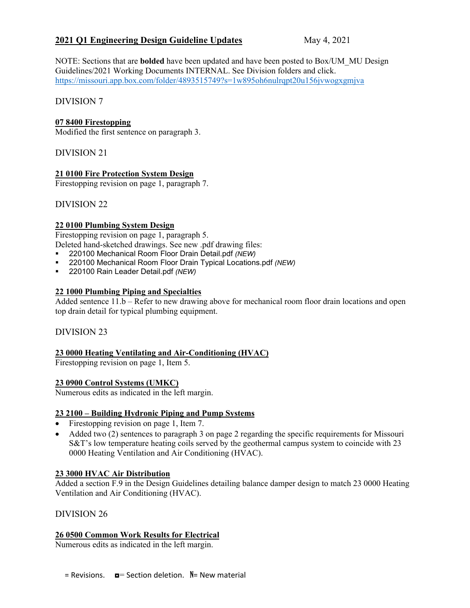# **2021 Q1 Engineering Design Guideline Updates** May 4, 2021

NOTE: Sections that are **bolded** have been updated and have been posted to Box/UM\_MU Design Guidelines/2021 Working Documents INTERNAL. See Division folders and click. <https://missouri.app.box.com/folder/4893515749?s=1w895oh6nulrqpt20u156jvwogxgmjva>

DIVISION 7

## **07 8400 Firestopping**

Modified the first sentence on paragraph 3.

DIVISION 21

# **21 0100 Fire Protection System Design**

Firestopping revision on page 1, paragraph 7.

DIVISION 22

# **22 0100 Plumbing System Design**

Firestopping revision on page 1, paragraph 5. Deleted hand-sketched drawings. See new .pdf drawing files:

- 220100 Mechanical Room Floor Drain Detail.pdf *(NEW)*
- 220100 Mechanical Room Floor Drain Typical Locations.pdf *(NEW)*
- 220100 Rain Leader Detail.pdf *(NEW)*

## **22 1000 Plumbing Piping and Specialties**

Added sentence 11.b – Refer to new drawing above for mechanical room floor drain locations and open top drain detail for typical plumbing equipment.

## DIVISION 23

## **23 0000 Heating Ventilating and Air-Conditioning (HVAC)**

Firestopping revision on page 1, Item 5.

## **23 0900 Control Systems (UMKC)**

Numerous edits as indicated in the left margin.

## **23 2100 – Building Hydronic Piping and Pump Systems**

- Firestopping revision on page 1, Item 7.
- Added two (2) sentences to paragraph 3 on page 2 regarding the specific requirements for Missouri S&T's low temperature heating coils served by the geothermal campus system to coincide with 23 0000 Heating Ventilation and Air Conditioning (HVAC).

## **23 3000 HVAC Air Distribution**

Added a section F.9 in the Design Guidelines detailing balance damper design to match 23 0000 Heating Ventilation and Air Conditioning (HVAC).

DIVISION 26

#### **26 0500 Common Work Results for Electrical**

Numerous edits as indicated in the left margin.